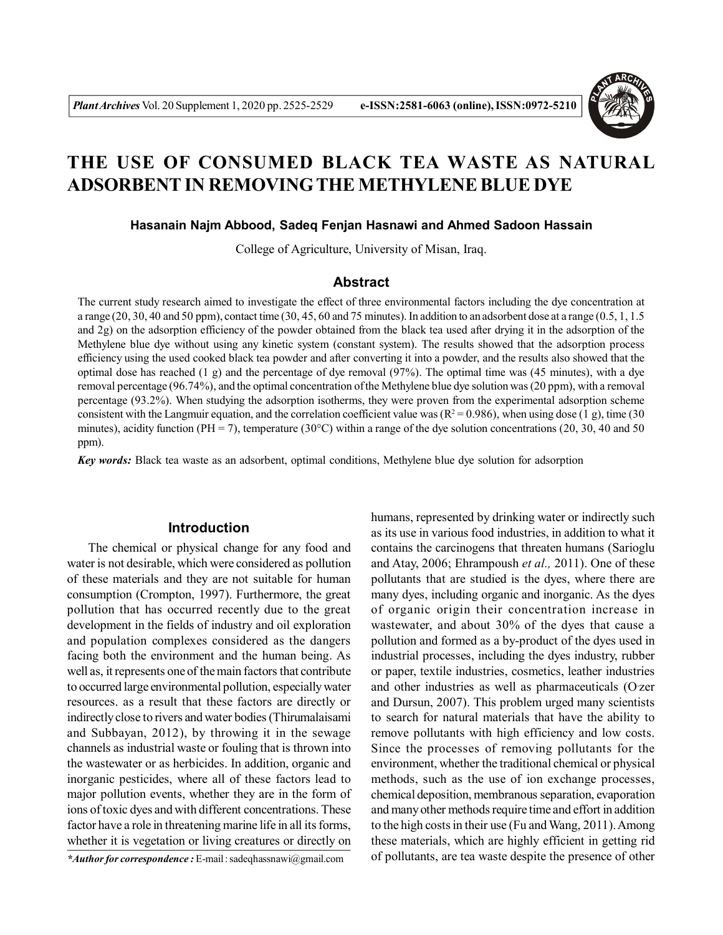

# **THE USE OF CONSUMED BLACK TEA WASTE AS NATURAL ADSORBENT IN REMOVING THE METHYLENE BLUE DYE**

#### **Hasanain Najm Abbood, Sadeq Fenjan Hasnawi and Ahmed Sadoon Hassain**

College of Agriculture, University of Misan, Iraq.

# **Abstract**

The current study research aimed to investigate the effect of three environmental factors including the dye concentration at a range (20, 30, 40 and 50 ppm), contact time (30, 45, 60 and 75 minutes). In addition to an adsorbent dose at a range (0.5, 1, 1.5 and 2g) on the adsorption efficiency of the powder obtained from the black tea used after drying it in the adsorption of the Methylene blue dye without using any kinetic system (constant system). The results showed that the adsorption process efficiency using the used cooked black tea powder and after converting it into a powder, and the results also showed that the optimal dose has reached  $(1 g)$  and the percentage of dye removal  $(97%)$ . The optimal time was  $(45 \text{ minutes})$ , with a dye removal percentage (96.74%), and the optimal concentration of the Methylene blue dye solution was (20 ppm), with a removal percentage (93.2%). When studying the adsorption isotherms, they were proven from the experimental adsorption scheme consistent with the Langmuir equation, and the correlation coefficient value was  $(R^2 = 0.986)$ , when using dose (1 g), time (30) minutes), acidity function (PH = 7), temperature (30°C) within a range of the dye solution concentrations (20, 30, 40 and 50 ppm).

*Key words:* Black tea waste as an adsorbent, optimal conditions, Methylene blue dye solution for adsorption

# **Introduction**

The chemical or physical change for any food and water is not desirable, which were considered as pollution of these materials and they are not suitable for human consumption (Crompton, 1997). Furthermore, the great pollution that has occurred recently due to the great development in the fields of industry and oil exploration and population complexes considered as the dangers facing both the environment and the human being. As well as, it represents one of the main factors that contribute to occurred large environmental pollution, especially water resources. as a result that these factors are directly or indirectly close to rivers and water bodies (Thirumalaisami and Subbayan, 2012), by throwing it in the sewage channels as industrial waste or fouling that is thrown into the wastewater or as herbicides. In addition, organic and inorganic pesticides, where all of these factors lead to major pollution events, whether they are in the form of ions of toxic dyes and with different concentrations. These factor have a role in threatening marine life in all its forms, whether it is vegetation or living creatures or directly on

*\*Author for correspondence :* E-mail : sadeqhassnawi@gmail.com

humans, represented by drinking water or indirectly such as its use in various food industries, in addition to what it contains the carcinogens that threaten humans (Sarioglu and Atay, 2006; Ehrampoush *et al.,* 2011). One of these pollutants that are studied is the dyes, where there are many dyes, including organic and inorganic. As the dyes of organic origin their concentration increase in wastewater, and about 30% of the dyes that cause a pollution and formed as a by-product of the dyes used in industrial processes, including the dyes industry, rubber or paper, textile industries, cosmetics, leather industries and other industries as well as pharmaceuticals (Ozer and Dursun, 2007). This problem urged many scientists to search for natural materials that have the ability to remove pollutants with high efficiency and low costs. Since the processes of removing pollutants for the environment, whether the traditional chemical or physical methods, such as the use of ion exchange processes, chemical deposition, membranous separation, evaporation and many other methods require time and effort in addition to the high costs in their use (Fu and Wang, 2011). Among these materials, which are highly efficient in getting rid of pollutants, are tea waste despite the presence of other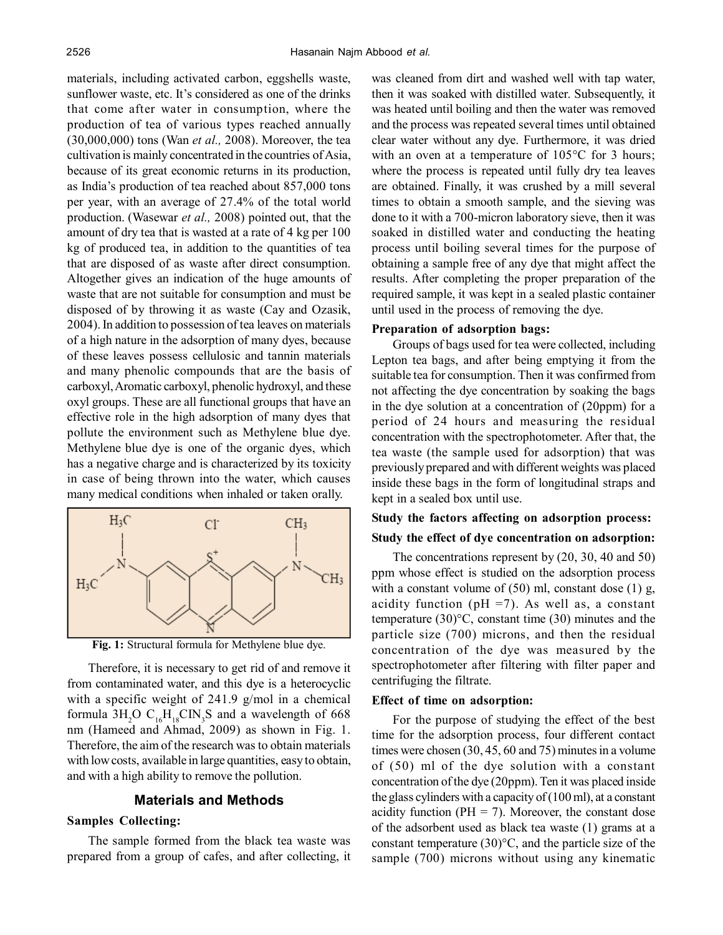materials, including activated carbon, eggshells waste, sunflower waste, etc. It's considered as one of the drinks that come after water in consumption, where the production of tea of various types reached annually (30,000,000) tons (Wan *et al.,* 2008). Moreover, the tea cultivation is mainly concentrated in the countries of Asia, because of its great economic returns in its production, as India's production of tea reached about 857,000 tons per year, with an average of 27.4% of the total world production. (Wasewar *et al.,* 2008) pointed out, that the amount of dry tea that is wasted at a rate of 4 kg per 100 kg of produced tea, in addition to the quantities of tea that are disposed of as waste after direct consumption. Altogether gives an indication of the huge amounts of waste that are not suitable for consumption and must be disposed of by throwing it as waste (Cay and Ozasik, 2004). In addition to possession of tea leaves on materials of a high nature in the adsorption of many dyes, because of these leaves possess cellulosic and tannin materials and many phenolic compounds that are the basis of carboxyl, Aromatic carboxyl, phenolic hydroxyl, and these oxyl groups. These are all functional groups that have an effective role in the high adsorption of many dyes that pollute the environment such as Methylene blue dye. Methylene blue dye is one of the organic dyes, which has a negative charge and is characterized by its toxicity in case of being thrown into the water, which causes many medical conditions when inhaled or taken orally.



**Fig. 1:** Structural formula for Methylene blue dye.

Therefore, it is necessary to get rid of and remove it from contaminated water, and this dye is a heterocyclic with a specific weight of 241.9 g/mol in a chemical formula  $3H_2O C_{16}H_{18}C{N_3}S$  and a wavelength of 668 nm (Hameed and Ahmad, 2009) as shown in Fig. 1. Therefore, the aim of the research was to obtain materials with low costs, available in large quantities, easy to obtain, and with a high ability to remove the pollution.

# **Materials and Methods**

### **Samples Collecting:**

The sample formed from the black tea waste was prepared from a group of cafes, and after collecting, it was cleaned from dirt and washed well with tap water, then it was soaked with distilled water. Subsequently, it was heated until boiling and then the water was removed and the process was repeated several times until obtained clear water without any dye. Furthermore, it was dried with an oven at a temperature of 105°C for 3 hours; where the process is repeated until fully dry tea leaves are obtained. Finally, it was crushed by a mill several times to obtain a smooth sample, and the sieving was done to it with a 700-micron laboratory sieve, then it was soaked in distilled water and conducting the heating process until boiling several times for the purpose of obtaining a sample free of any dye that might affect the results. After completing the proper preparation of the required sample, it was kept in a sealed plastic container until used in the process of removing the dye.

#### **Preparation of adsorption bags:**

Groups of bags used for tea were collected, including Lepton tea bags, and after being emptying it from the suitable tea for consumption. Then it was confirmed from not affecting the dye concentration by soaking the bags in the dye solution at a concentration of (20ppm) for a period of 24 hours and measuring the residual concentration with the spectrophotometer. After that, the tea waste (the sample used for adsorption) that was previously prepared and with different weights was placed inside these bags in the form of longitudinal straps and kept in a sealed box until use.

# **Study the factors affecting on adsorption process: Study the effect of dye concentration on adsorption:**

The concentrations represent by (20, 30, 40 and 50) ppm whose effect is studied on the adsorption process with a constant volume of  $(50)$  ml, constant dose  $(1)$  g, acidity function ( $pH = 7$ ). As well as, a constant temperature (30)°C, constant time (30) minutes and the particle size (700) microns, and then the residual concentration of the dye was measured by the spectrophotometer after filtering with filter paper and centrifuging the filtrate.

#### **Effect of time on adsorption:**

For the purpose of studying the effect of the best time for the adsorption process, four different contact times were chosen (30, 45, 60 and 75) minutes in a volume of (50) ml of the dye solution with a constant concentration of the dye (20ppm). Ten it was placed inside the glass cylinders with a capacity of (100 ml), at a constant acidity function ( $PH = 7$ ). Moreover, the constant dose of the adsorbent used as black tea waste (1) grams at a constant temperature (30)°C, and the particle size of the sample (700) microns without using any kinematic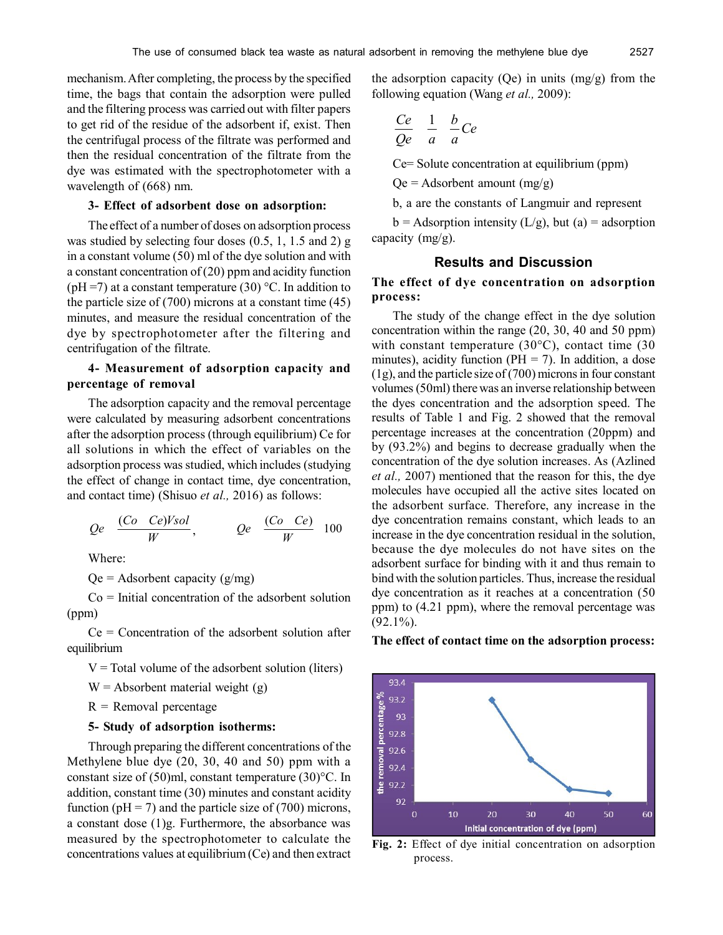mechanism. After completing, the process by the specified time, the bags that contain the adsorption were pulled and the filtering process was carried out with filter papers to get rid of the residue of the adsorbent if, exist. Then the centrifugal process of the filtrate was performed and then the residual concentration of the filtrate from the dye was estimated with the spectrophotometer with a wavelength of (668) nm.

#### **3- Effect of adsorbent dose on adsorption:**

The effect of a number of doses on adsorption process was studied by selecting four doses (0.5, 1, 1.5 and 2) g in a constant volume (50) ml of the dye solution and with a constant concentration of (20) ppm and acidity function (pH =7) at a constant temperature (30)  $^{\circ}$ C. In addition to the particle size of (700) microns at a constant time (45) minutes, and measure the residual concentration of the dye by spectrophotometer after the filtering and centrifugation of the filtrate.

# **4- Measurement of adsorption capacity and percentage of removal**

The adsorption capacity and the removal percentage were calculated by measuring adsorbent concentrations after the adsorption process (through equilibrium) Ce for all solutions in which the effect of variables on the adsorption process was studied, which includes (studying the effect of change in contact time, dye concentration, and contact time) (Shisuo *et al.,* 2016) as follows:

$$
Qe \quad \frac{(Co \quad Ce)Vsol}{W}, \qquad Qe \quad \frac{(Co \quad Ce)}{W} \quad 100
$$

Where:

 $Qe =$  Adsorbent capacity (g/mg)

 $Co = Initial concentration of the adsor bent solution$ (ppm)

 $Ce = Concentration of the adsor bent solution after$ equilibrium

 $V = Total$  volume of the adsorbent solution (liters)

 $W =$  Absorbent material weight (g)

 $R$  = Removal percentage

# **5- Study of adsorption isotherms:**

Through preparing the different concentrations of the Methylene blue dye (20, 30, 40 and 50) ppm with a constant size of (50)ml, constant temperature (30)°C. In addition, constant time (30) minutes and constant acidity function ( $pH = 7$ ) and the particle size of (700) microns, a constant dose (1)g. Furthermore, the absorbance was measured by the spectrophotometer to calculate the concentrations values at equilibrium (Ce) and then extract the adsorption capacity (Qe) in units  $(mg/g)$  from the following equation (Wang *et al.,* 2009):

$$
\frac{Ce}{Qe} \quad \frac{1}{a} \quad \frac{b}{a}Ce
$$

Ce= Solute concentration at equilibrium (ppm)

 $Qe =$  Adsorbent amount  $(mg/g)$ 

b, a are the constants of Langmuir and represent

 $b =$  Adsorption intensity (L/g), but (a) = adsorption capacity (mg/g).

# **Results and Discussion**

# **The effect of dye concentration on adsorption process:**

The study of the change effect in the dye solution concentration within the range (20, 30, 40 and 50 ppm) with constant temperature  $(30^{\circ}$ C), contact time  $(30^{\circ}$ minutes), acidity function ( $PH = 7$ ). In addition, a dose (1g), and the particle size of (700) microns in four constant volumes (50ml) there was an inverse relationship between the dyes concentration and the adsorption speed. The results of Table 1 and Fig. 2 showed that the removal percentage increases at the concentration (20ppm) and by (93.2%) and begins to decrease gradually when the concentration of the dye solution increases. As (Azlined *et al.,* 2007) mentioned that the reason for this, the dye molecules have occupied all the active sites located on the adsorbent surface. Therefore, any increase in the dye concentration remains constant, which leads to an increase in the dye concentration residual in the solution, because the dye molecules do not have sites on the adsorbent surface for binding with it and thus remain to bind with the solution particles. Thus, increase the residual dye concentration as it reaches at a concentration (50 ppm) to (4.21 ppm), where the removal percentage was  $(92.1\%)$ .

#### **The effect of contact time on the adsorption process:**



**Fig. 2:** Effect of dye initial concentration on adsorption process.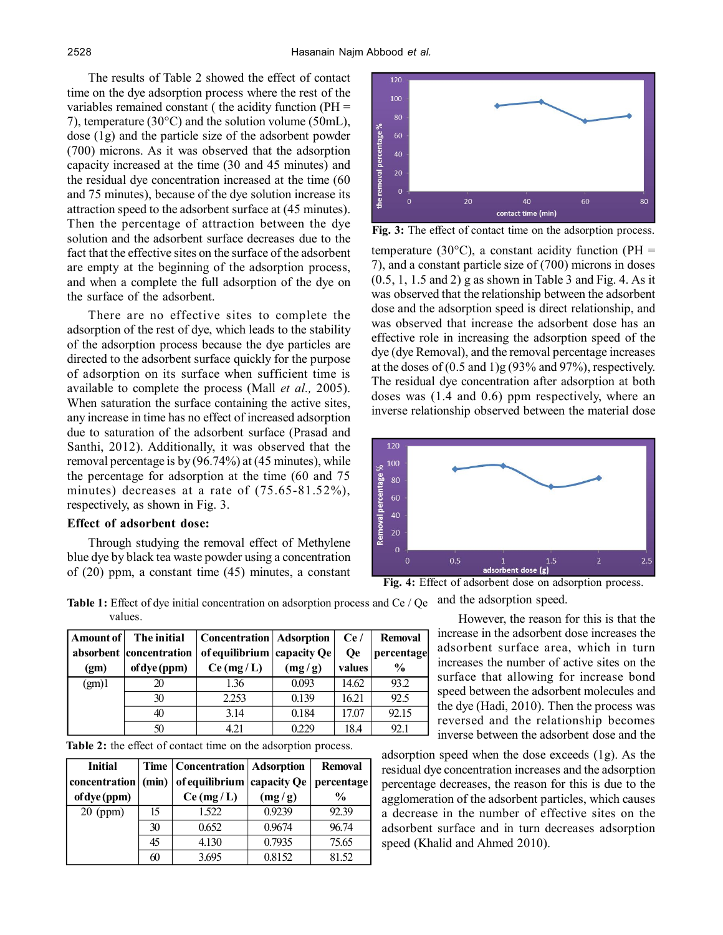The results of Table 2 showed the effect of contact time on the dye adsorption process where the rest of the variables remained constant ( the acidity function (PH = 7), temperature (30°C) and the solution volume (50mL), dose (1g) and the particle size of the adsorbent powder (700) microns. As it was observed that the adsorption capacity increased at the time (30 and 45 minutes) and the residual dye concentration increased at the time (60 and 75 minutes), because of the dye solution increase its attraction speed to the adsorbent surface at (45 minutes). Then the percentage of attraction between the dye solution and the adsorbent surface decreases due to the fact that the effective sites on the surface of the adsorbent are empty at the beginning of the adsorption process, and when a complete the full adsorption of the dye on the surface of the adsorbent.

There are no effective sites to complete the adsorption of the rest of dye, which leads to the stability of the adsorption process because the dye particles are directed to the adsorbent surface quickly for the purpose of adsorption on its surface when sufficient time is available to complete the process (Mall *et al.,* 2005). When saturation the surface containing the active sites, any increase in time has no effect of increased adsorption due to saturation of the adsorbent surface (Prasad and Santhi, 2012). Additionally, it was observed that the removal percentage is by (96.74%) at (45 minutes), while the percentage for adsorption at the time (60 and 75 minutes) decreases at a rate of (75.65-81.52%), respectively, as shown in Fig. 3.

#### **Effect of adsorbent dose:**

Through studying the removal effect of Methylene blue dye by black tea waste powder using a concentration of (20) ppm, a constant time (45) minutes, a constant



temperature (30 $^{\circ}$ C), a constant acidity function (PH = 7), and a constant particle size of (700) microns in doses (0.5, 1, 1.5 and 2) g as shown in Table 3 and Fig. 4. As it was observed that the relationship between the adsorbent dose and the adsorption speed is direct relationship, and was observed that increase the adsorbent dose has an effective role in increasing the adsorption speed of the dye (dye Removal), and the removal percentage increases at the doses of  $(0.5 \text{ and } 1)$ g  $(93\% \text{ and } 97\%)$ , respectively. The residual dye concentration after adsorption at both doses was (1.4 and 0.6) ppm respectively, where an inverse relationship observed between the material dose **Fig. 3:** The effect of contact time on the adsorption process.



**Fig. 4:** Effect of adsorbent dose on adsorption process.

Table 1: Effect of dye initial concentration on adsorption process and Ce / Qe and the adsorption speed. values.

| Amount of         | The initial             | <b>Concentration</b>   Adsorption |             | Ce/       | <b>Removal</b> |
|-------------------|-------------------------|-----------------------------------|-------------|-----------|----------------|
|                   | absorbent concentration | of equilibrium                    | capacity Qe | <b>Oe</b> | percentage     |
| (g <sub>m</sub> ) | of dye (ppm)            | Ce(mg/L)                          | (mg/g)      | values    | $\frac{0}{0}$  |
| (gm)1             |                         | 1.36                              | 0.093       | 14.62     | 93.2           |
|                   | 30                      | 2.253                             | 0.139       | 16.21     | 92.5           |
|                   | 40                      | 3.14                              | 0.184       | 17.07     | 92.15          |
|                   | 50                      | 4.21                              | 0.229       | 18.4      | 92.1           |

**Table 2:** the effect of contact time on the adsorption process.

| <b>Initial</b>       |    | Time   Concentration   Adsorption             |        | <b>Removal</b> |
|----------------------|----|-----------------------------------------------|--------|----------------|
| concentration  (min) |    | of equilibrium $ $ capacity Qe $ $ percentage |        |                |
| of dye (ppm)         |    | Ce(mg/L)                                      | (mg/g) | $\frac{0}{0}$  |
| $20$ (ppm)           | 15 | 1.522                                         | 0.9239 | 92.39          |
|                      | 30 | 0.652                                         | 0.9674 | 96.74          |
|                      | 45 | 4.130                                         | 0.7935 | 75.65          |
|                      | 60 | 3695                                          | 0.8152 | 81.52          |

However, the reason for this is that the increase in the adsorbent dose increases the adsorbent surface area, which in turn increases the number of active sites on the surface that allowing for increase bond speed between the adsorbent molecules and the dye (Hadi, 2010). Then the process was reversed and the relationship becomes inverse between the adsorbent dose and the

adsorption speed when the dose exceeds (1g). As the residual dye concentration increases and the adsorption percentage decreases, the reason for this is due to the agglomeration of the adsorbent particles, which causes a decrease in the number of effective sites on the adsorbent surface and in turn decreases adsorption speed (Khalid and Ahmed 2010).